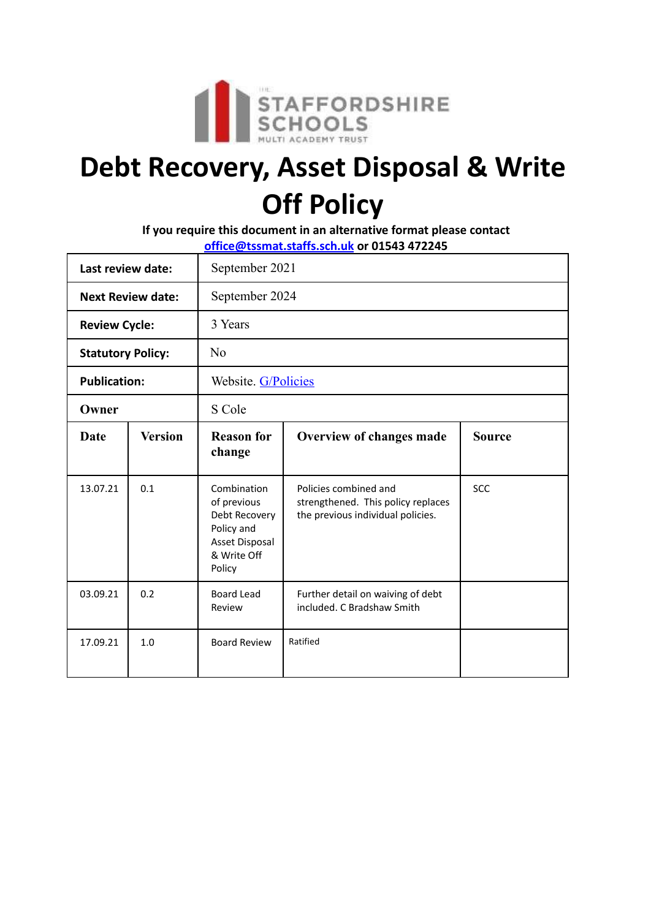

# **Debt Recovery, Asset Disposal & Write Off Policy**

**If you require this document in an alternative format please contact office@tssmat.staffs.sch.uk or 01543 472245**

| Last review date:        |                | September 2021                                                                                       |                                                                                                  |               |
|--------------------------|----------------|------------------------------------------------------------------------------------------------------|--------------------------------------------------------------------------------------------------|---------------|
| <b>Next Review date:</b> |                | September 2024                                                                                       |                                                                                                  |               |
| <b>Review Cycle:</b>     |                | 3 Years                                                                                              |                                                                                                  |               |
| <b>Statutory Policy:</b> |                | No                                                                                                   |                                                                                                  |               |
| <b>Publication:</b>      |                | Website. G/Policies                                                                                  |                                                                                                  |               |
| Owner                    |                | S Cole                                                                                               |                                                                                                  |               |
| Date                     | <b>Version</b> | <b>Reason for</b><br>change                                                                          | Overview of changes made                                                                         | <b>Source</b> |
| 13.07.21                 | 0.1            | Combination<br>of previous<br>Debt Recovery<br>Policy and<br>Asset Disposal<br>& Write Off<br>Policy | Policies combined and<br>strengthened. This policy replaces<br>the previous individual policies. | <b>SCC</b>    |
| 03.09.21                 | 0.2            | <b>Board Lead</b><br>Review                                                                          | Further detail on waiving of debt<br>included. C Bradshaw Smith                                  |               |
| 17.09.21                 | 1.0            | <b>Board Review</b>                                                                                  | Ratified                                                                                         |               |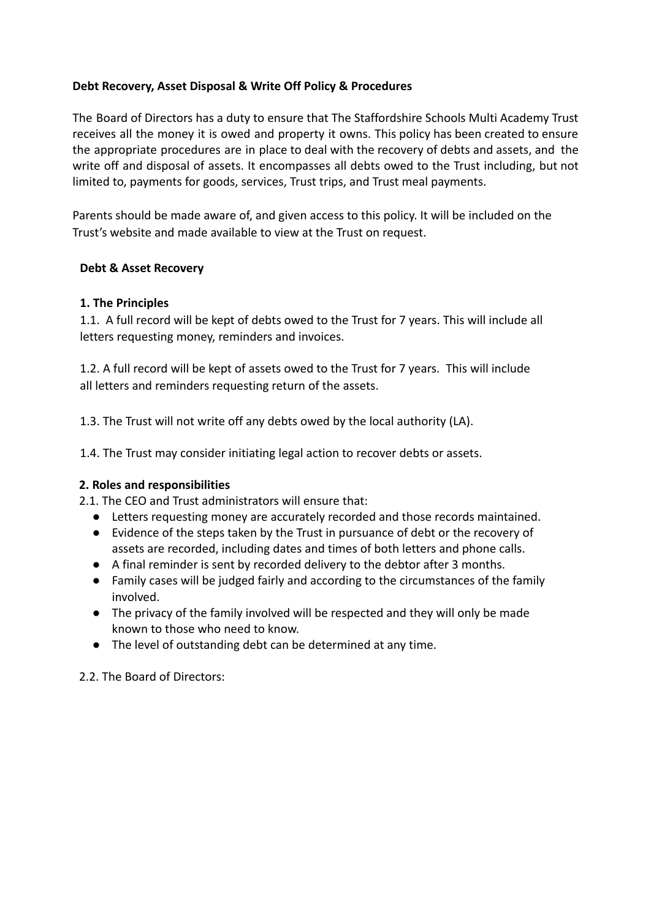## **Debt Recovery, Asset Disposal & Write Off Policy & Procedures**

The Board of Directors has a duty to ensure that The Staffordshire Schools Multi Academy Trust receives all the money it is owed and property it owns. This policy has been created to ensure the appropriate procedures are in place to deal with the recovery of debts and assets, and the write off and disposal of assets. It encompasses all debts owed to the Trust including, but not limited to, payments for goods, services, Trust trips, and Trust meal payments.

Parents should be made aware of, and given access to this policy. It will be included on the Trust's website and made available to view at the Trust on request.

### **Debt & Asset Recovery**

## **1. The Principles**

1.1. A full record will be kept of debts owed to the Trust for 7 years. This will include all letters requesting money, reminders and invoices.

1.2. A full record will be kept of assets owed to the Trust for 7 years. This will include all letters and reminders requesting return of the assets.

1.3. The Trust will not write off any debts owed by the local authority (LA).

1.4. The Trust may consider initiating legal action to recover debts or assets.

#### **2. Roles and responsibilities**

2.1. The CEO and Trust administrators will ensure that:

- Letters requesting money are accurately recorded and those records maintained.
- Evidence of the steps taken by the Trust in pursuance of debt or the recovery of assets are recorded, including dates and times of both letters and phone calls.
- A final reminder is sent by recorded delivery to the debtor after 3 months.
- Family cases will be judged fairly and according to the circumstances of the family involved.
- The privacy of the family involved will be respected and they will only be made known to those who need to know.
- The level of outstanding debt can be determined at any time.

2.2. The Board of Directors: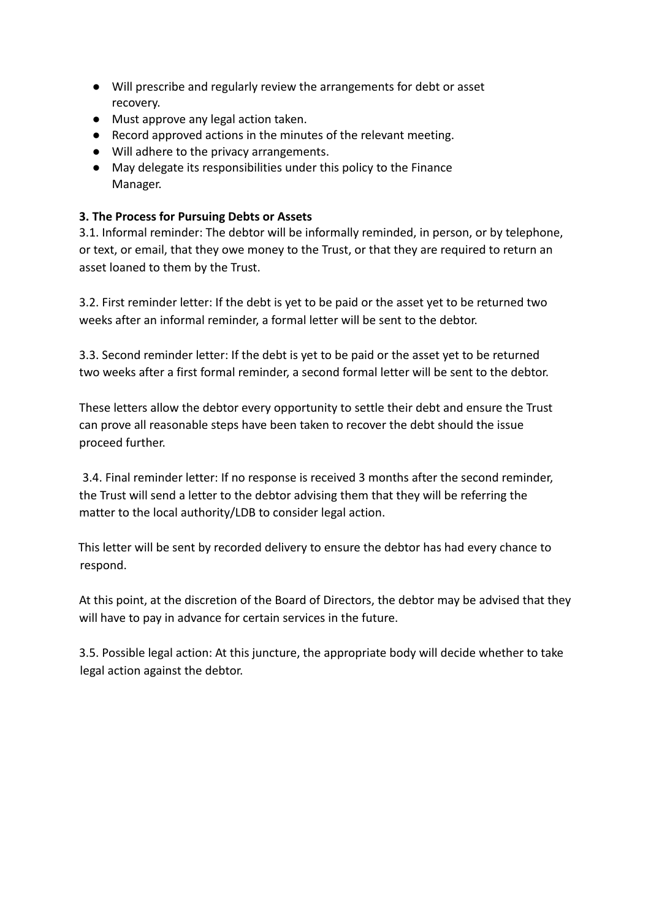- Will prescribe and regularly review the arrangements for debt or asset recovery.
- Must approve any legal action taken.
- Record approved actions in the minutes of the relevant meeting.
- Will adhere to the privacy arrangements.
- May delegate its responsibilities under this policy to the Finance Manager.

## **3. The Process for Pursuing Debts or Assets**

3.1. Informal reminder: The debtor will be informally reminded, in person, or by telephone, or text, or email, that they owe money to the Trust, or that they are required to return an asset loaned to them by the Trust.

3.2. First reminder letter: If the debt is yet to be paid or the asset yet to be returned two weeks after an informal reminder, a formal letter will be sent to the debtor.

3.3. Second reminder letter: If the debt is yet to be paid or the asset yet to be returned two weeks after a first formal reminder, a second formal letter will be sent to the debtor.

These letters allow the debtor every opportunity to settle their debt and ensure the Trust can prove all reasonable steps have been taken to recover the debt should the issue proceed further.

3.4. Final reminder letter: If no response is received 3 months after the second reminder, the Trust will send a letter to the debtor advising them that they will be referring the matter to the local authority/LDB to consider legal action.

This letter will be sent by recorded delivery to ensure the debtor has had every chance to respond.

At this point, at the discretion of the Board of Directors, the debtor may be advised that they will have to pay in advance for certain services in the future.

3.5. Possible legal action: At this juncture, the appropriate body will decide whether to take legal action against the debtor.